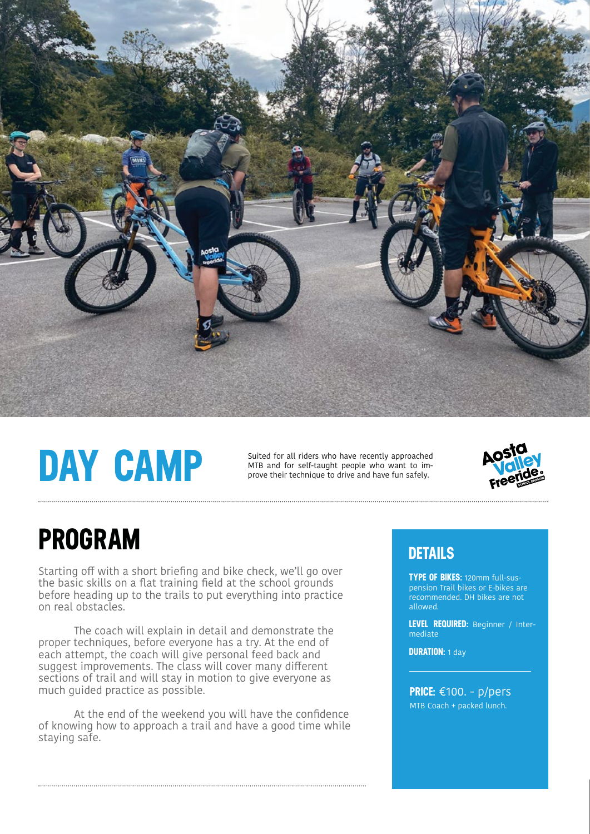

# **DAY CAMP**

Suited for all riders who have recently approached MTB and for self-taught people who want to improve their technique to drive and have fun safely.



### **PROGRAM**

Starting off with a short briefing and bike check, we'll go over the basic skills on a flat training field at the school grounds before heading up to the trails to put everything into practice on real obstacles.

 The coach will explain in detail and demonstrate the proper techniques, before everyone has a try. At the end of each attempt, the coach will give personal feed back and suggest improvements. The class will cover many different sections of trail and will stay in motion to give everyone as much guided practice as possible.

At the end of the weekend you will have the confidence of knowing how to approach a trail and have a good time while staying safe.

#### **DETAILS**

**TYPE OF BIKES:** 120mm full-suspension Trail bikes or E-bikes are recommended. DH bikes are not allowed.

**LEVEL REQUIRED:** Beginner / Intermediate

**DURATION:** 1 day

MTB Coach + packed lunch. **PRICE:** €100. - p/pers